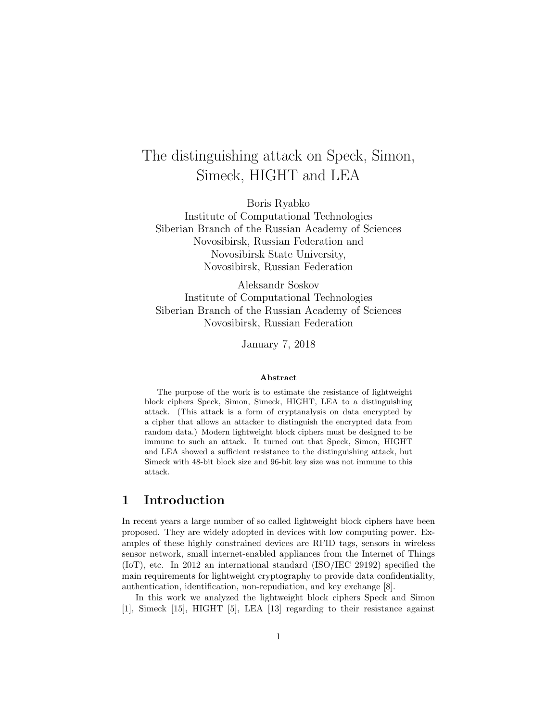# The distinguishing attack on Speck, Simon, Simeck, HIGHT and LEA

Boris Ryabko

Institute of Computational Technologies Siberian Branch of the Russian Academy of Sciences Novosibirsk, Russian Federation and Novosibirsk State University, Novosibirsk, Russian Federation

Aleksandr Soskov Institute of Computational Technologies Siberian Branch of the Russian Academy of Sciences Novosibirsk, Russian Federation

January 7, 2018

#### Abstract

The purpose of the work is to estimate the resistance of lightweight block ciphers Speck, Simon, Simeck, HIGHT, LEA to a distinguishing attack. (This attack is a form of cryptanalysis on data encrypted by a cipher that allows an attacker to distinguish the encrypted data from random data.) Modern lightweight block ciphers must be designed to be immune to such an attack. It turned out that Speck, Simon, HIGHT and LEA showed a sufficient resistance to the distinguishing attack, but Simeck with 48-bit block size and 96-bit key size was not immune to this attack.

#### 1 Introduction

In recent years a large number of so called lightweight block ciphers have been proposed. They are widely adopted in devices with low computing power. Examples of these highly constrained devices are RFID tags, sensors in wireless sensor network, small internet-enabled appliances from the Internet of Things (IoT), etc. In 2012 an international standard (ISO/IEC 29192) specified the main requirements for lightweight cryptography to provide data confidentiality, authentication, identification, non-repudiation, and key exchange [8].

In this work we analyzed the lightweight block ciphers Speck and Simon [1], Simeck [15], HIGHT [5], LEA [13] regarding to their resistance against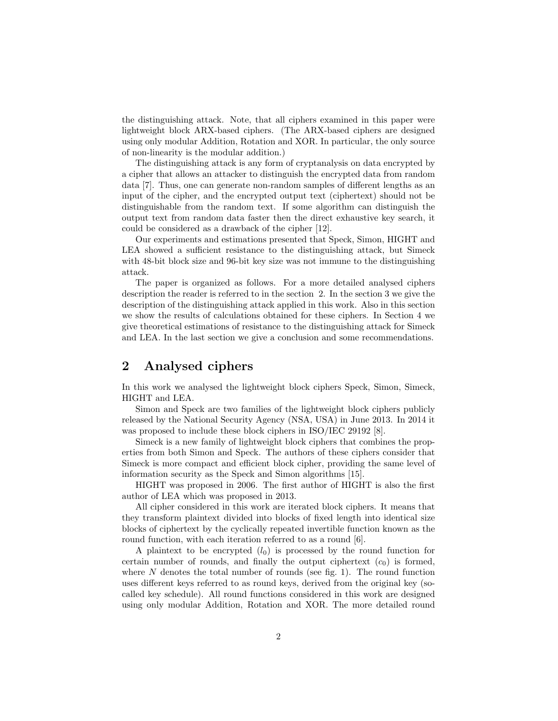the distinguishing attack. Note, that all ciphers examined in this paper were lightweight block ARX-based ciphers. (The ARX-based ciphers are designed using only modular Addition, Rotation and XOR. In particular, the only source of non-linearity is the modular addition.)

The distinguishing attack is any form of cryptanalysis on data encrypted by a cipher that allows an attacker to distinguish the encrypted data from random data [7]. Thus, one can generate non-random samples of different lengths as an input of the cipher, and the encrypted output text (ciphertext) should not be distinguishable from the random text. If some algorithm can distinguish the output text from random data faster then the direct exhaustive key search, it could be considered as a drawback of the cipher [12].

Our experiments and estimations presented that Speck, Simon, HIGHT and LEA showed a sufficient resistance to the distinguishing attack, but Simeck with 48-bit block size and 96-bit key size was not immune to the distinguishing attack.

The paper is organized as follows. For a more detailed analysed ciphers description the reader is referred to in the section 2. In the section 3 we give the description of the distinguishing attack applied in this work. Also in this section we show the results of calculations obtained for these ciphers. In Section 4 we give theoretical estimations of resistance to the distinguishing attack for Simeck and LEA. In the last section we give a conclusion and some recommendations.

# 2 Analysed ciphers

In this work we analysed the lightweight block ciphers Speck, Simon, Simeck, HIGHT and LEA.

Simon and Speck are two families of the lightweight block ciphers publicly released by the National Security Agency (NSA, USA) in June 2013. In 2014 it was proposed to include these block ciphers in ISO/IEC 29192 [8].

Simeck is a new family of lightweight block ciphers that combines the properties from both Simon and Speck. The authors of these ciphers consider that Simeck is more compact and efficient block cipher, providing the same level of information security as the Speck and Simon algorithms [15].

HIGHT was proposed in 2006. The first author of HIGHT is also the first author of LEA which was proposed in 2013.

All cipher considered in this work are iterated block ciphers. It means that they transform plaintext divided into blocks of fixed length into identical size blocks of ciphertext by the cyclically repeated invertible function known as the round function, with each iteration referred to as a round [6].

A plaintext to be encrypted  $(l_0)$  is processed by the round function for certain number of rounds, and finally the output ciphertext  $(c_0)$  is formed, where  $N$  denotes the total number of rounds (see fig. 1). The round function uses different keys referred to as round keys, derived from the original key (socalled key schedule). All round functions considered in this work are designed using only modular Addition, Rotation and XOR. The more detailed round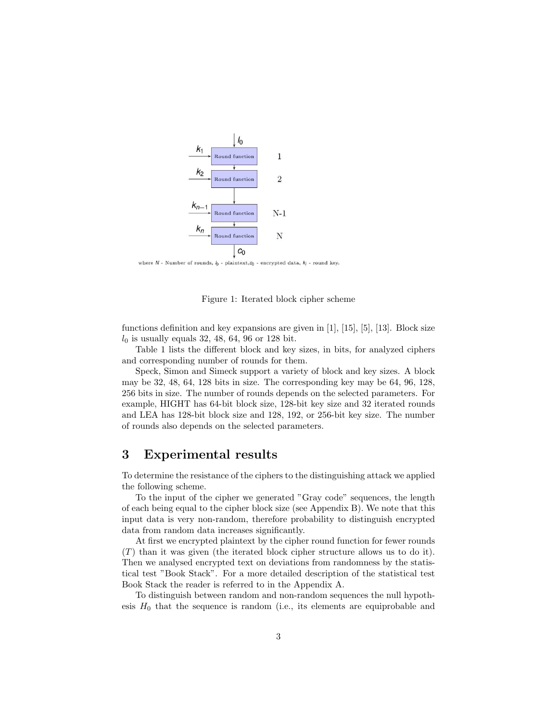

where  $N$  - Number of rounds,  $l_0$  - plaintext,  $c_0$  - encrypted data,  $k_i$  - round key.



functions definition and key expansions are given in [1], [15], [5], [13]. Block size  $l_0$  is usually equals 32, 48, 64, 96 or 128 bit.

Table 1 lists the different block and key sizes, in bits, for analyzed ciphers and corresponding number of rounds for them.

Speck, Simon and Simeck support a variety of block and key sizes. A block may be 32, 48, 64, 128 bits in size. The corresponding key may be 64, 96, 128, 256 bits in size. The number of rounds depends on the selected parameters. For example, HIGHT has 64-bit block size, 128-bit key size and 32 iterated rounds and LEA has 128-bit block size and 128, 192, or 256-bit key size. The number of rounds also depends on the selected parameters.

#### 3 Experimental results

To determine the resistance of the ciphers to the distinguishing attack we applied the following scheme.

To the input of the cipher we generated "Gray code" sequences, the length of each being equal to the cipher block size (see Appendix B). We note that this input data is very non-random, therefore probability to distinguish encrypted data from random data increases significantly.

At first we encrypted plaintext by the cipher round function for fewer rounds (T) than it was given (the iterated block cipher structure allows us to do it). Then we analysed encrypted text on deviations from randomness by the statistical test "Book Stack". For a more detailed description of the statistical test Book Stack the reader is referred to in the Appendix A.

To distinguish between random and non-random sequences the null hypothesis  $H_0$  that the sequence is random (i.e., its elements are equiprobable and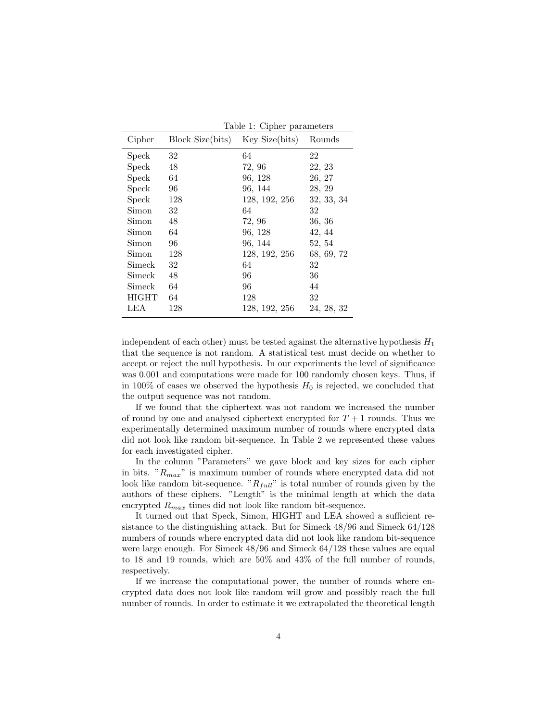|              |                  | Table 1: Cipher parameters |            |  |
|--------------|------------------|----------------------------|------------|--|
| Cipher       | Block Size(bits) | Key Size(bits)             | Rounds     |  |
| Speck        | 32               | 64                         | 22         |  |
| <b>Speck</b> | 48               | 72, 96                     | 22, 23     |  |
| <b>Speck</b> | 64               | 96, 128                    | 26, 27     |  |
| Speck        | 96               | 96, 144                    | 28, 29     |  |
| <b>Speck</b> | 128              | 128, 192, 256              | 32, 33, 34 |  |
| Simon        | 32               | 64                         | 32         |  |
| Simon        | 48               | 72, 96                     | 36, 36     |  |
| Simon        | 64               | 96, 128                    | 42, 44     |  |
| Simon        | 96               | 96, 144                    | 52, 54     |  |
| Simon        | 128              | 128, 192, 256              | 68, 69, 72 |  |
| Simeck       | 32               | 64                         | 32         |  |
| Simeck       | 48               | 96                         | 36         |  |
| Simeck       | 64               | 96                         | 44         |  |
| HIGHT        | 64               | 128                        | 32         |  |
| LEA          | 128              | 128, 192, 256              | 24, 28, 32 |  |
|              |                  |                            |            |  |

Table 1: Cipher parameters

independent of each other) must be tested against the alternative hypothesis  $H_1$ that the sequence is not random. A statistical test must decide on whether to accept or reject the null hypothesis. In our experiments the level of significance was 0.001 and computations were made for 100 randomly chosen keys. Thus, if in 100% of cases we observed the hypothesis  $H_0$  is rejected, we concluded that the output sequence was not random.

If we found that the ciphertext was not random we increased the number of round by one and analysed ciphertext encrypted for  $T + 1$  rounds. Thus we experimentally determined maximum number of rounds where encrypted data did not look like random bit-sequence. In Table 2 we represented these values for each investigated cipher.

In the column "Parameters" we gave block and key sizes for each cipher in bits. " $R_{max}$ " is maximum number of rounds where encrypted data did not look like random bit-sequence. " $R_{full}$ " is total number of rounds given by the authors of these ciphers. "Length" is the minimal length at which the data encrypted  $R_{max}$  times did not look like random bit-sequence.

It turned out that Speck, Simon, HIGHT and LEA showed a sufficient resistance to the distinguishing attack. But for Simeck 48/96 and Simeck 64/128 numbers of rounds where encrypted data did not look like random bit-sequence were large enough. For Simeck 48/96 and Simeck 64/128 these values are equal to 18 and 19 rounds, which are 50% and 43% of the full number of rounds, respectively.

If we increase the computational power, the number of rounds where encrypted data does not look like random will grow and possibly reach the full number of rounds. In order to estimate it we extrapolated the theoretical length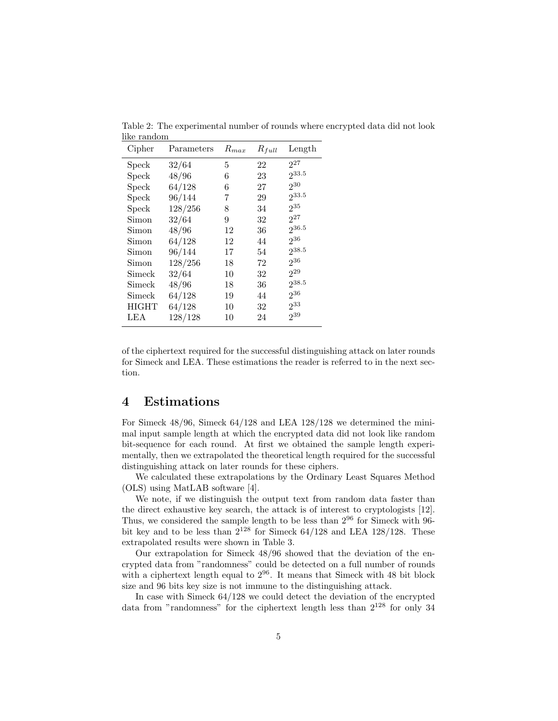| Cipher       | Parameters | $R_{max}$ | $R_{full}$ | Length          |
|--------------|------------|-----------|------------|-----------------|
| Speck        | 32/64      | 5         | 22         | $2^{27}$        |
| Speck        | 48/96      | 6         | 23         | 233.5           |
| Speck        | 64/128     | 6         | 27         | 230             |
| Speck        | 96/144     | 7         | 29         | 233.5           |
| Speck        | 128/256    | 8         | 34         | $2^{35}$        |
| Simon        | 32/64      | 9         | 32         | $2^{27}$        |
| Simon        | 48/96      | 12        | 36         | $2^{36.5}$      |
| Simon        | 64/128     | 12        | 44         | 236             |
| Simon        | 96/144     | 17        | 54         | $2^{38.5}$      |
| Simon        | 128/256    | 18        | 72         | 236             |
| Simeck       | 32/64      | 10        | 32         | 2 <sup>29</sup> |
| Simeck       | 48/96      | 18        | 36         | 238.5           |
| Simeck       | 64/128     | 19        | 44         | 236             |
| <b>HIGHT</b> | 64/128     | 10        | 32         | 233             |
| LEA          | 128/128    | 10        | 24         | 239             |
|              |            |           |            |                 |

Table 2: The experimental number of rounds where encrypted data did not look like random

of the ciphertext required for the successful distinguishing attack on later rounds for Simeck and LEA. These estimations the reader is referred to in the next section.

#### 4 Estimations

For Simeck 48/96, Simeck 64/128 and LEA 128/128 we determined the minimal input sample length at which the encrypted data did not look like random bit-sequence for each round. At first we obtained the sample length experimentally, then we extrapolated the theoretical length required for the successful distinguishing attack on later rounds for these ciphers.

We calculated these extrapolations by the Ordinary Least Squares Method (OLS) using MatLAB software [4].

We note, if we distinguish the output text from random data faster than the direct exhaustive key search, the attack is of interest to cryptologists [12]. Thus, we considered the sample length to be less than  $2^{96}$  for Simeck with  $96$ bit key and to be less than  $2^{128}$  for Simeck 64/128 and LEA 128/128. These extrapolated results were shown in Table 3.

Our extrapolation for Simeck 48/96 showed that the deviation of the encrypted data from "randomness" could be detected on a full number of rounds with a ciphertext length equal to  $2^{96}$ . It means that Simeck with 48 bit block size and 96 bits key size is not immune to the distinguishing attack.

In case with Simeck 64/128 we could detect the deviation of the encrypted data from "randomness" for the ciphertext length less than  $2^{128}$  for only 34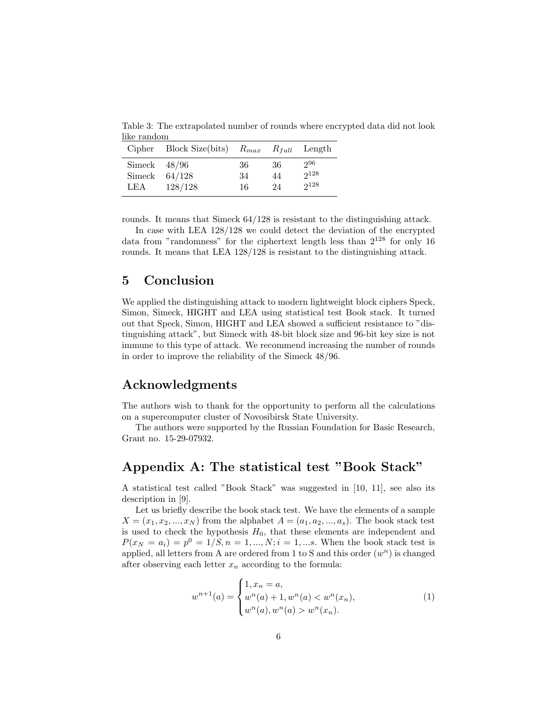Table 3: The extrapolated number of rounds where encrypted data did not look like random

|                                 | Cipher Block Size(bits) |                |                 | $R_{max}$ $R_{full}$ Length |
|---------------------------------|-------------------------|----------------|-----------------|-----------------------------|
| Simeck $48/96$<br>Simeck<br>LEA | 64/128<br>128/128       | 36<br>34<br>16 | -36<br>44<br>24 | 296<br>$2^{128}$<br>2128    |

rounds. It means that Simeck 64/128 is resistant to the distinguishing attack.

In case with LEA 128/128 we could detect the deviation of the encrypted data from "randomness" for the ciphertext length less than  $2^{128}$  for only 16 rounds. It means that LEA 128/128 is resistant to the distinguishing attack.

# 5 Conclusion

We applied the distinguishing attack to modern lightweight block ciphers Speck, Simon, Simeck, HIGHT and LEA using statistical test Book stack. It turned out that Speck, Simon, HIGHT and LEA showed a sufficient resistance to "distinguishing attack", but Simeck with 48-bit block size and 96-bit key size is not immune to this type of attack. We recommend increasing the number of rounds in order to improve the reliability of the Simeck 48/96.

# Acknowledgments

The authors wish to thank for the opportunity to perform all the calculations on a supercomputer cluster of Novosibirsk State University.

The authors were supported by the Russian Foundation for Basic Research, Grant no. 15-29-07932.

# Appendix A: The statistical test "Book Stack"

A statistical test called "Book Stack" was suggested in [10, 11], see also its description in [9].

Let us briefly describe the book stack test. We have the elements of a sample  $X = (x_1, x_2, ..., x_N)$  from the alphabet  $A = (a_1, a_2, ..., a_s)$ . The book stack test is used to check the hypothesis  $H_0$ , that these elements are independent and  $P(x_N = a_i) = p^0 = 1/S, n = 1, ..., N; i = 1, ...$ s. When the book stack test is applied, all letters from A are ordered from 1 to S and this order  $(w<sup>n</sup>)$  is changed after observing each letter  $x_n$  according to the formula:

$$
w^{n+1}(a) = \begin{cases} 1, x_n = a, \\ w^n(a) + 1, w^n(a) < w^n(x_n), \\ w^n(a), w^n(a) > w^n(x_n). \end{cases} \tag{1}
$$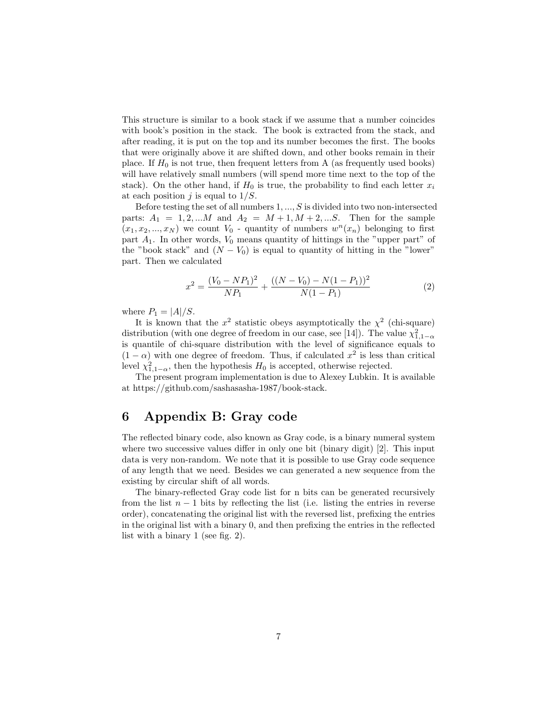This structure is similar to a book stack if we assume that a number coincides with book's position in the stack. The book is extracted from the stack, and after reading, it is put on the top and its number becomes the first. The books that were originally above it are shifted down, and other books remain in their place. If  $H_0$  is not true, then frequent letters from A (as frequently used books) will have relatively small numbers (will spend more time next to the top of the stack). On the other hand, if  $H_0$  is true, the probability to find each letter  $x_i$ at each position  $j$  is equal to  $1/S$ .

Before testing the set of all numbers  $1, \ldots, S$  is divided into two non-intersected parts:  $A_1 = 1, 2, ...M$  and  $A_2 = M + 1, M + 2, ...S$ . Then for the sample  $(x_1, x_2, ..., x_N)$  we count  $V_0$  - quantity of numbers  $w^n(x_n)$  belonging to first part  $A_1$ . In other words,  $V_0$  means quantity of hittings in the "upper part" of the "book stack" and  $(N - V_0)$  is equal to quantity of hitting in the "lower" part. Then we calculated

$$
x^{2} = \frac{(V_{0} - NP_{1})^{2}}{NP_{1}} + \frac{((N - V_{0}) - N(1 - P_{1}))^{2}}{N(1 - P_{1})}
$$
\n(2)

where  $P_1 = |A|/S$ .

It is known that the  $x^2$  statistic obeys asymptotically the  $\chi^2$  (chi-square) distribution (with one degree of freedom in our case, see [14]). The value  $\chi^2_{1,1-\alpha}$ is quantile of chi-square distribution with the level of significance equals to  $(1 - \alpha)$  with one degree of freedom. Thus, if calculated  $x^2$  is less than critical level  $\chi^2_{1,1-\alpha}$ , then the hypothesis  $H_0$  is accepted, otherwise rejected.

The present program implementation is due to Alexey Lubkin. It is available at https://github.com/sashasasha-1987/book-stack.

# 6 Appendix B: Gray code

The reflected binary code, also known as Gray code, is a binary numeral system where two successive values differ in only one bit (binary digit) [2]. This input data is very non-random. We note that it is possible to use Gray code sequence of any length that we need. Besides we can generated a new sequence from the existing by circular shift of all words.

The binary-reflected Gray code list for n bits can be generated recursively from the list  $n - 1$  bits by reflecting the list (i.e. listing the entries in reverse order), concatenating the original list with the reversed list, prefixing the entries in the original list with a binary 0, and then prefixing the entries in the reflected list with a binary 1 (see fig. 2).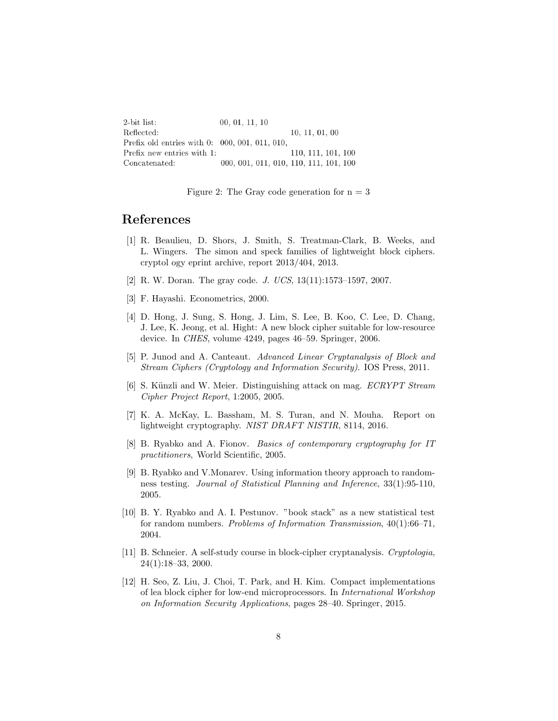| $2$ -bit list:                                    | 00, 01, 11, 10                         |                    |
|---------------------------------------------------|----------------------------------------|--------------------|
| Reflected:                                        |                                        | 10, 11, 01, 00     |
| Prefix old entries with $0: 000, 001, 011, 010$ , |                                        |                    |
| Prefix new entries with 1:                        |                                        | 110, 111, 101, 100 |
| Concatenated:                                     | 000, 001, 011, 010, 110, 111, 101, 100 |                    |

Figure 2: The Gray code generation for  $n = 3$ 

#### References

- [1] R. Beaulieu, D. Shors, J. Smith, S. Treatman-Clark, B. Weeks, and L. Wingers. The simon and speck families of lightweight block ciphers. cryptol ogy eprint archive, report 2013/404, 2013.
- [2] R. W. Doran. The gray code. J. UCS, 13(11):1573–1597, 2007.
- [3] F. Hayashi. Econometrics, 2000.
- [4] D. Hong, J. Sung, S. Hong, J. Lim, S. Lee, B. Koo, C. Lee, D. Chang, J. Lee, K. Jeong, et al. Hight: A new block cipher suitable for low-resource device. In CHES, volume 4249, pages 46–59. Springer, 2006.
- [5] P. Junod and A. Canteaut. Advanced Linear Cryptanalysis of Block and Stream Ciphers (Cryptology and Information Security). IOS Press, 2011.
- [6] S. Künzli and W. Meier. Distinguishing attack on mag. ECRYPT Stream Cipher Project Report, 1:2005, 2005.
- [7] K. A. McKay, L. Bassham, M. S. Turan, and N. Mouha. Report on lightweight cryptography. NIST DRAFT NISTIR, 8114, 2016.
- [8] B. Ryabko and A. Fionov. Basics of contemporary cryptography for IT practitioners, World Scientific, 2005.
- [9] B. Ryabko and V.Monarev. Using information theory approach to randomness testing. Journal of Statistical Planning and Inference, 33(1):95-110, 2005.
- [10] B. Y. Ryabko and A. I. Pestunov. "book stack" as a new statistical test for random numbers. Problems of Information Transmission,  $40(1):66-71$ , 2004.
- [11] B. Schneier. A self-study course in block-cipher cryptanalysis. Cryptologia, 24(1):18–33, 2000.
- [12] H. Seo, Z. Liu, J. Choi, T. Park, and H. Kim. Compact implementations of lea block cipher for low-end microprocessors. In International Workshop on Information Security Applications, pages 28–40. Springer, 2015.